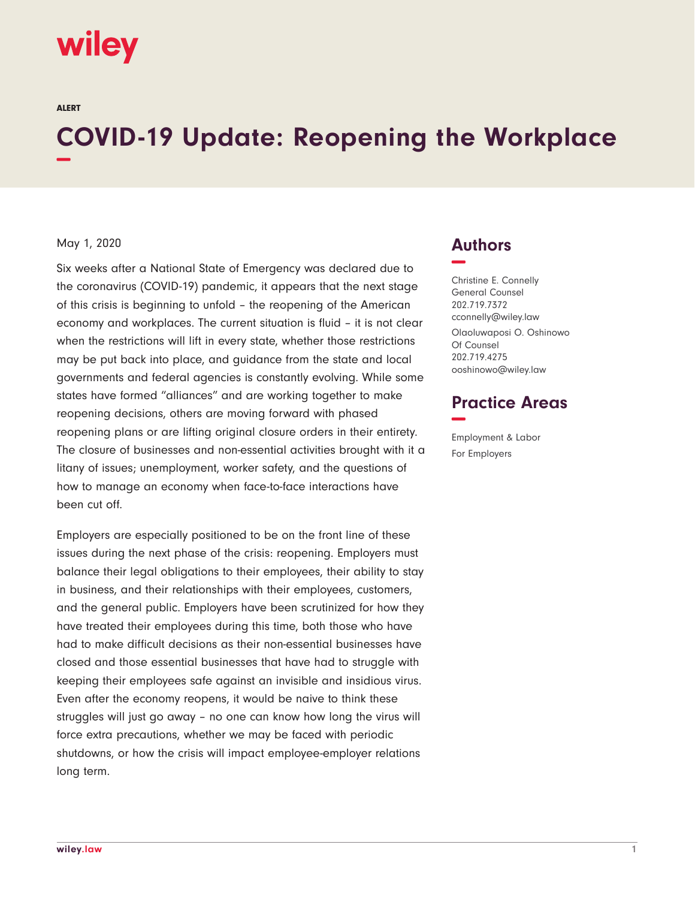# wiley

ALERT

# **COVID-19 Update: Reopening the Workplace −**

#### May 1, 2020

Six weeks after a National State of Emergency was declared due to the coronavirus (COVID-19) pandemic, it appears that the next stage of this crisis is beginning to unfold – the reopening of the American economy and workplaces. The current situation is fluid – it is not clear when the restrictions will lift in every state, whether those restrictions may be put back into place, and guidance from the state and local governments and federal agencies is constantly evolving. While some states have formed "alliances" and are working together to make reopening decisions, others are moving forward with phased reopening plans or are lifting original closure orders in their entirety. The closure of businesses and non-essential activities brought with it a litany of issues; unemployment, worker safety, and the questions of how to manage an economy when face-to-face interactions have been cut off.

Employers are especially positioned to be on the front line of these issues during the next phase of the crisis: reopening. Employers must balance their legal obligations to their employees, their ability to stay in business, and their relationships with their employees, customers, and the general public. Employers have been scrutinized for how they have treated their employees during this time, both those who have had to make difficult decisions as their non-essential businesses have closed and those essential businesses that have had to struggle with keeping their employees safe against an invisible and insidious virus. Even after the economy reopens, it would be naive to think these struggles will just go away – no one can know how long the virus will force extra precautions, whether we may be faced with periodic shutdowns, or how the crisis will impact employee-employer relations long term.

## **Authors −**

Christine E. Connelly General Counsel 202.719.7372 cconnelly@wiley.law Olaoluwaposi O. Oshinowo Of Counsel 202.719.4275 ooshinowo@wiley.law

## **Practice Areas −**

Employment & Labor For Employers